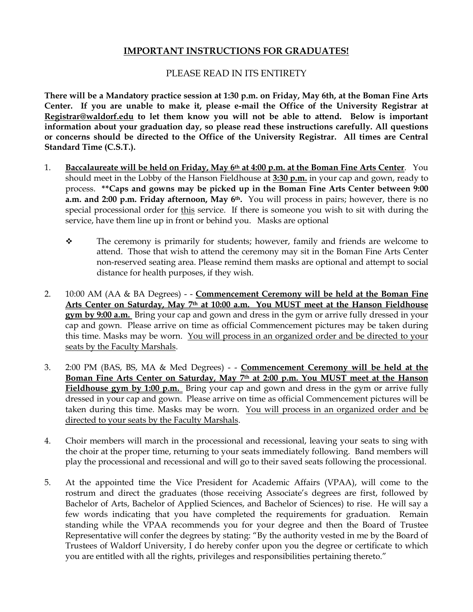### **IMPORTANT INSTRUCTIONS FOR GRADUATES!**

#### PLEASE READ IN ITS ENTIRETY

**There will be a Mandatory practice session at 1:30 p.m. on Friday, May 6th, at the Boman Fine Arts Center. If you are unable to make it, please e-mail the Office of the University Registrar at [Registrar@waldorf.edu](mailto:Registrar@waldorf.edu) to let them know you will not be able to attend. Below is important information about your graduation day, so please read these instructions carefully. All questions or concerns should be directed to the Office of the University Registrar. All times are Central Standard Time (C.S.T.).**

- 1. **Baccalaureate will be held on Friday, May 6th at 4:00 p.m. at the Boman Fine Arts Center**. You should meet in the Lobby of the Hanson Fieldhouse at **3:30 p.m.** in your cap and gown, ready to process. **\*\*Caps and gowns may be picked up in the Boman Fine Arts Center between 9:00 a.m. and 2:00 p.m. Friday afternoon, May 6th.** You will process in pairs; however, there is no special processional order for this service. If there is someone you wish to sit with during the service, have them line up in front or behind you. Masks are optional
	- ❖ The ceremony is primarily for students; however, family and friends are welcome to attend. Those that wish to attend the ceremony may sit in the Boman Fine Arts Center non-reserved seating area. Please remind them masks are optional and attempt to social distance for health purposes, if they wish.
- 2. 10:00 AM (AA & BA Degrees) - **Commencement Ceremony will be held at the Boman Fine Arts Center on Saturday, May 7th at 10:00 a.m. You MUST meet at the Hanson Fieldhouse gym by 9:00 a.m.** Bring your cap and gown and dress in the gym or arrive fully dressed in your cap and gown. Please arrive on time as official Commencement pictures may be taken during this time. Masks may be worn. You will process in an organized order and be directed to your seats by the Faculty Marshals.
- 3. 2:00 PM (BAS, BS, MA & Med Degrees) - **Commencement Ceremony will be held at the Boman Fine Arts Center on Saturday, May 7th at 2:00 p.m. You MUST meet at the Hanson Fieldhouse gym by 1:00 p.m.** Bring your cap and gown and dress in the gym or arrive fully dressed in your cap and gown. Please arrive on time as official Commencement pictures will be taken during this time. Masks may be worn. You will process in an organized order and be directed to your seats by the Faculty Marshals.
- 4. Choir members will march in the processional and recessional, leaving your seats to sing with the choir at the proper time, returning to your seats immediately following. Band members will play the processional and recessional and will go to their saved seats following the processional.
- 5. At the appointed time the Vice President for Academic Affairs (VPAA), will come to the rostrum and direct the graduates (those receiving Associate's degrees are first, followed by Bachelor of Arts, Bachelor of Applied Sciences, and Bachelor of Sciences) to rise. He will say a few words indicating that you have completed the requirements for graduation. Remain standing while the VPAA recommends you for your degree and then the Board of Trustee Representative will confer the degrees by stating: "By the authority vested in me by the Board of Trustees of Waldorf University, I do hereby confer upon you the degree or certificate to which you are entitled with all the rights, privileges and responsibilities pertaining thereto."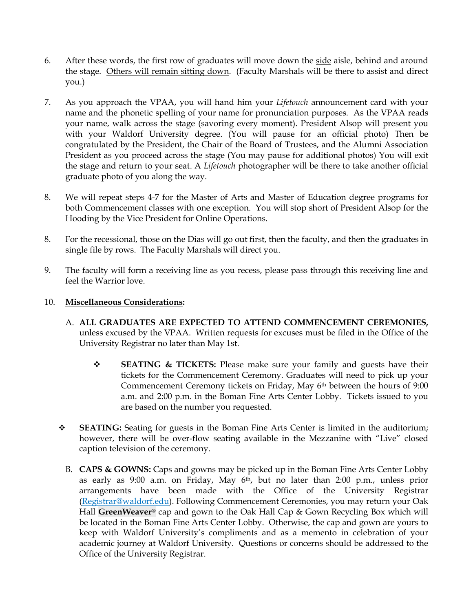- 6. After these words, the first row of graduates will move down the side aisle, behind and around the stage. Others will remain sitting down. (Faculty Marshals will be there to assist and direct you.)
- 7. As you approach the VPAA, you will hand him your *Lifetouch* announcement card with your name and the phonetic spelling of your name for pronunciation purposes. As the VPAA reads your name, walk across the stage (savoring every moment). President Alsop will present you with your Waldorf University degree. (You will pause for an official photo) Then be congratulated by the President, the Chair of the Board of Trustees, and the Alumni Association President as you proceed across the stage (You may pause for additional photos) You will exit the stage and return to your seat. A *Lifetouch* photographer will be there to take another official graduate photo of you along the way.
- 8. We will repeat steps 4-7 for the Master of Arts and Master of Education degree programs for both Commencement classes with one exception. You will stop short of President Alsop for the Hooding by the Vice President for Online Operations.
- 8. For the recessional, those on the Dias will go out first, then the faculty, and then the graduates in single file by rows. The Faculty Marshals will direct you.
- 9. The faculty will form a receiving line as you recess, please pass through this receiving line and feel the Warrior love.

#### 10. **Miscellaneous Considerations:**

- A. **ALL GRADUATES ARE EXPECTED TO ATTEND COMMENCEMENT CEREMONIES,** unless excused by the VPAA. Written requests for excuses must be filed in the Office of the University Registrar no later than May 1st.
	- ❖ **SEATING & TICKETS:** Please make sure your family and guests have their tickets for the Commencement Ceremony. Graduates will need to pick up your Commencement Ceremony tickets on Friday, May 6th between the hours of 9:00 a.m. and 2:00 p.m. in the Boman Fine Arts Center Lobby. Tickets issued to you are based on the number you requested.
- ❖ **SEATING:** Seating for guests in the Boman Fine Arts Center is limited in the auditorium; however, there will be over-flow seating available in the Mezzanine with "Live" closed caption television of the ceremony.
	- B. **CAPS & GOWNS:** Caps and gowns may be picked up in the Boman Fine Arts Center Lobby as early as 9:00 a.m. on Friday, May 6th, but no later than 2:00 p.m., unless prior arrangements have been made with the Office of the University Registrar [\(Registrar@](mailto:Registrar)waldorf.edu). Following Commencement Ceremonies, you may return your Oak Hall **GreenWeaver®** cap and gown to the Oak Hall Cap & Gown Recycling Box which will be located in the Boman Fine Arts Center Lobby. Otherwise, the cap and gown are yours to keep with Waldorf University's compliments and as a memento in celebration of your academic journey at Waldorf University. Questions or concerns should be addressed to the Office of the University Registrar.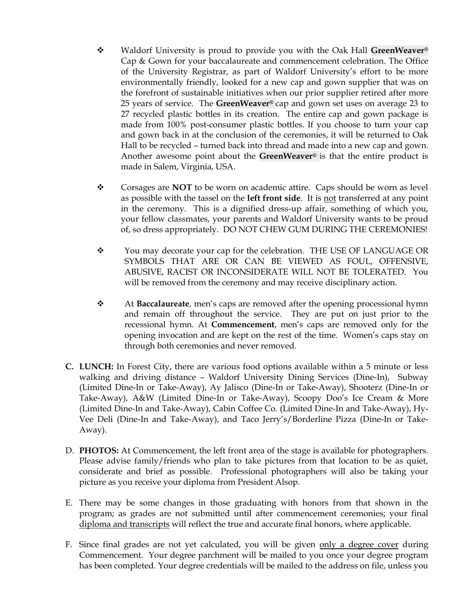- ❖ Waldorf University is proud to provide you with the Oak Hall **GreenWeaver®** Cap & Gown for your baccalaureate and commencement celebration. The Office of the University Registrar, as part of Waldorf University's effort to be more environmentally friendly, looked for a new cap and gown supplier that was on the forefront of sustainable initiatives when our prior supplier retired after more 25 years of service. The **GreenWeaver®** cap and gown set uses on average 23 to 27 recycled plastic bottles in its creation. The entire cap and gown package is made from 100% post-consumer plastic bottles. If you choose to turn your cap and gown back in at the conclusion of the ceremonies, it will be returned to Oak Hall to be recycled – turned back into thread and made into a new cap and gown. Another awesome point about the **GreenWeaver®** is that the entire product is made in Salem, Virginia, USA.
- ❖ Corsages are **NOT** to be worn on academic attire. Caps should be worn as level as possible with the tassel on the **left front side**. It is not transferred at any point in the ceremony. This is a dignified dress-up affair, something of which you, your fellow classmates, your parents and Waldorf University wants to be proud of, so dress appropriately. DO NOT CHEW GUM DURING THE CEREMONIES!
- ❖ You may decorate your cap for the celebration. THE USE OF LANGUAGE OR SYMBOLS THAT ARE OR CAN BE VIEWED AS FOUL, OFFENSIVE, ABUSIVE, RACIST OR INCONSIDERATE WILL NOT BE TOLERATED. You will be removed from the ceremony and may receive disciplinary action.
- ❖ At **Baccalaureate**, men's caps are removed after the opening processional hymn and remain off throughout the service. They are put on just prior to the recessional hymn. At **Commencement**, men's caps are removed only for the opening invocation and are kept on the rest of the time. Women's caps stay on through both ceremonies and never removed.
- **C. LUNCH:** In Forest City, there are various food options available within a 5 minute or less walking and driving distance – Waldorf University Dining Services (Dine-In), Subway (Limited Dine-In or Take-Away), Ay Jalisco (Dine-In or Take-Away), Shooterz (Dine-In or Take-Away), A&W (Limited Dine-In or Take-Away), Scoopy Doo's Ice Cream & More (Limited Dine-In and Take-Away), Cabin Coffee Co. (Limited Dine-In and Take-Away), Hy-Vee Deli (Dine-In and Take-Away), and Taco Jerry's/Borderline Pizza (Dine-In or Take-Away).
- D. **PHOTOS:** At Commencement, the left front area of the stage is available for photographers. Please advise family/friends who plan to take pictures from that location to be as quiet, considerate and brief as possible. Professional photographers will also be taking your picture as you receive your diploma from President Alsop.
- E. There may be some changes in those graduating with honors from that shown in the program; as grades are not submitted until after commencement ceremonies; your final diploma and transcripts will reflect the true and accurate final honors, where applicable.
- F. Since final grades are not yet calculated, you will be given only a degree cover during Commencement. Your degree parchment will be mailed to you once your degree program has been completed. Your degree credentials will be mailed to the address on file, unless you